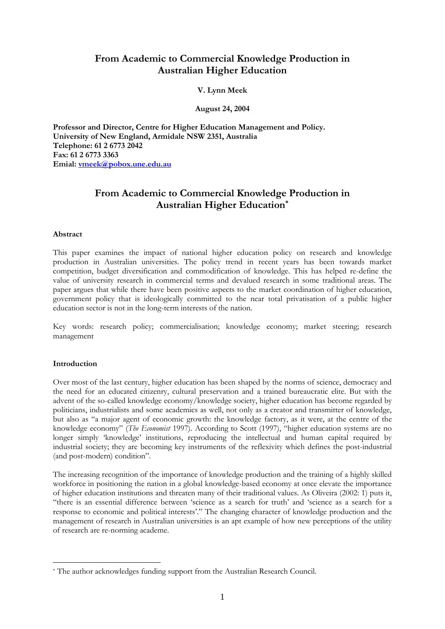# **From Academic to Commercial Knowledge Production in Australian Higher Education**

### **V. Lynn Meek**

**August 24, 2004**

**Professor and Director, Centre for Higher Education Management and Policy. University of New England, Armidale NSW 2351, Australia Telephone: 61 2 6773 2042 Fax: 61 2 6773 3363 Emial: [vmeek@pobox.une.edu.au](mailto:vmeek@pobox.une.edu.au)**

# **From Academic to Commercial Knowledge Production in Australian Higher Education\***

#### **Abstract**

This paper examines the impact of national higher education policy on research and knowledge production in Australian universities. The policy trend in recent years has been towards market competition, budget diversification and commodification of knowledge. This has helped re-define the value of university research in commercial terms and devalued research in some traditional areas. The paper argues that while there have been positive aspects to the market coordination of higher education, government policy that is ideologically committed to the near total privatisation of a public higher education sector is not in the long-term interests of the nation.

Key words: research policy; commercialisation; knowledge economy; market steering; research management

#### **Introduction**

1

Over most of the last century, higher education has been shaped by the norms of science, democracy and the need for an educated citizenry, cultural preservation and a trained bureaucratic elite. But with the advent of the so-called knowledge economy/knowledge society, higher education has become regarded by politicians, industrialists and some academics as well, not only as a creator and transmitter of knowledge, but also as "a major agent of economic growth: the knowledge factory, as it were, at the centre of the knowledge economy" (*The Economist* 1997). According to Scott (1997), "higher education systems are no longer simply 'knowledge' institutions, reproducing the intellectual and human capital required by industrial society; they are becoming key instruments of the reflexivity which defines the post-industrial (and post-modern) condition".

The increasing recognition of the importance of knowledge production and the training of a highly skilled workforce in positioning the nation in a global knowledge-based economy at once elevate the importance of higher education institutions and threaten many of their traditional values. As Oliveira (2002: 1) puts it, "there is an essential difference between 'science as a search for truth' and 'science as a search for a response to economic and political interests'." The changing character of knowledge production and the management of research in Australian universities is an apt example of how new perceptions of the utility of research are re-norming academe.

<sup>\*</sup> The author acknowledges funding support from the Australian Research Council.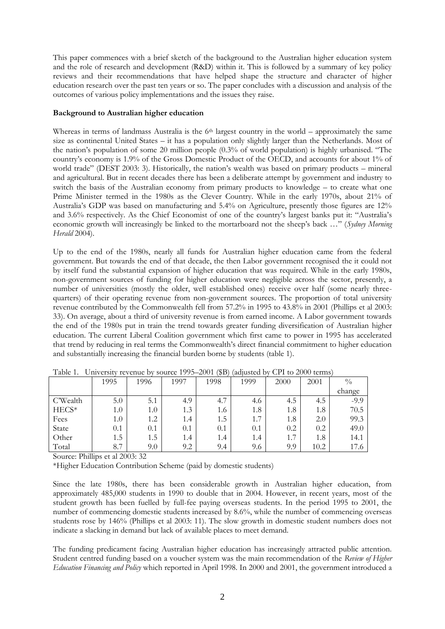This paper commences with a brief sketch of the background to the Australian higher education system and the role of research and development (R&D) within it. This is followed by a summary of key policy reviews and their recommendations that have helped shape the structure and character of higher education research over the past ten years or so. The paper concludes with a discussion and analysis of the outcomes of various policy implementations and the issues they raise.

### **Background to Australian higher education**

Whereas in terms of landmass Australia is the  $6<sup>th</sup>$  largest country in the world – approximately the same size as continental United States – it has a population only slightly larger than the Netherlands. Most of the nation's population of some 20 million people (0.3% of world population) is highly urbanised. "The country's economy is 1.9% of the Gross Domestic Product of the OECD, and accounts for about 1% of world trade" (DEST 2003: 3). Historically, the nation's wealth was based on primary products – mineral and agricultural. But in recent decades there has been a deliberate attempt by government and industry to switch the basis of the Australian economy from primary products to knowledge – to create what one Prime Minister termed in the 1980s as the Clever Country. While in the early 1970s, about 21% of Australia's GDP was based on manufacturing and 5.4% on Agriculture, presently those figures are 12% and 3.6% respectively. As the Chief Economist of one of the country's largest banks put it: "Australia's economic growth will increasingly be linked to the mortarboard not the sheep's back …" (*Sydney Morning Herald* 2004).

Up to the end of the 1980s, nearly all funds for Australian higher education came from the federal government. But towards the end of that decade, the then Labor government recognised the it could not by itself fund the substantial expansion of higher education that was required. While in the early 1980s, non-government sources of funding for higher education were negligible across the sector, presently, a number of universities (mostly the older, well established ones) receive over half (some nearly threequarters) of their operating revenue from non-government sources. The proportion of total university revenue contributed by the Commonwealth fell from 57.2% in 1995 to 43.8% in 2001 (Phillips et al 2003: 33). On average, about a third of university revenue is from earned income. A Labor government towards the end of the 1980s put in train the trend towards greater funding diversification of Australian higher education. The current Liberal Coalition government which first came to power in 1995 has accelerated that trend by reducing in real terms the Commonwealth's direct financial commitment to higher education and substantially increasing the financial burden borne by students (table 1).

|          | 1995    | 1996 | 1997 | 1998                            | 1999 | 2000 | 2001 | $\frac{0}{0}$ |
|----------|---------|------|------|---------------------------------|------|------|------|---------------|
|          |         |      |      |                                 |      |      |      | change        |
| C'Wealth | 5.0     | 5.1  | 4.9  | $\overline{\phantom{0}}$<br>4.7 | 4.6  | 4.5  | 4.5  | $-9.9$        |
| HECS*    | 1.0     | 1.0  | 1.3  | 1.6                             | 1.8  | 1.8  | 1.8  | 70.5          |
| Fees     | $1.0\,$ | 1.2  | 1.4  | 1.5                             | 1.7  | 1.8  | 2.0  | 99.3          |
| State    | 0.1     | 0.1  | 0.1  | 0.1                             | 0.1  | 0.2  | 0.2  | 49.0          |
| Other    | 1.5     | 1.5  | 1.4  | 1.4                             | 1.4  | 1.7  | 1.8  | 14.1          |
| Total    | 8.7     | 9.0  | 9.2  | 9.4                             | 9.6  | 9.9  | 10.2 | 17.6          |

Table 1. University revenue by source 1995–2001 (\$B) (adjusted by CPI to 2000 terms)

Source: Phillips et al 2003: 32

\*Higher Education Contribution Scheme (paid by domestic students)

Since the late 1980s, there has been considerable growth in Australian higher education, from approximately 485,000 students in 1990 to double that in 2004. However, in recent years, most of the student growth has been fuelled by full-fee paying overseas students. In the period 1995 to 2001, the number of commencing domestic students increased by 8.6%, while the number of commencing overseas students rose by 146% (Phillips et al 2003: 11). The slow growth in domestic student numbers does not indicate a slacking in demand but lack of available places to meet demand.

The funding predicament facing Australian higher education has increasingly attracted public attention. Student centred funding based on a voucher system was the main recommendation of the *Review of Higher Education Financing and Policy* which reported in April 1998. In 2000 and 2001, the government introduced a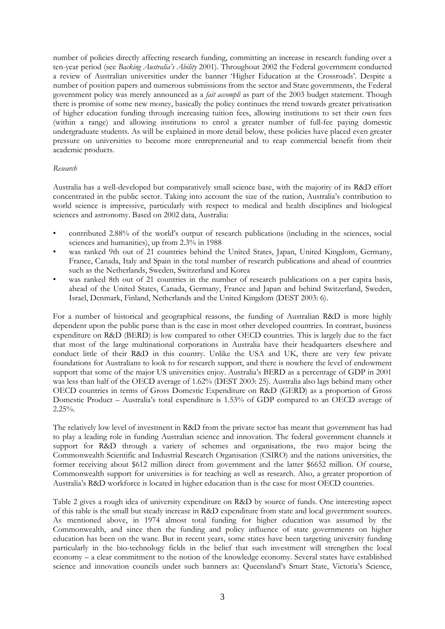number of policies directly affecting research funding, committing an increase in research funding over a ten-year period (see *Backing Australia's Ability* 2001). Throughout 2002 the Federal government conducted a review of Australian universities under the banner 'Higher Education at the Crossroads'. Despite a number of position papers and numerous submissions from the sector and State governments, the Federal government policy was merely announced as a *fait accompli* as part of the 2003 budget statement. Though there is promise of some new money, basically the policy continues the trend towards greater privatisation of higher education funding through increasing tuition fees, allowing institutions to set their own fees (within a range) and allowing institutions to enrol a greater number of full-fee paying domestic undergraduate students. As will be explained in more detail below, these policies have placed even greater pressure on universities to become more entrepreneurial and to reap commercial benefit from their academic products.

#### *Research*

Australia has a well-developed but comparatively small science base, with the majority of its R&D effort concentrated in the public sector. Taking into account the size of the nation, Australia's contribution to world science is impressive, particularly with respect to medical and health disciplines and biological sciences and astronomy. Based on 2002 data, Australia:

- contributed 2.88% of the world's output of research publications (including in the sciences, social sciences and humanities), up from 2.3% in 1988
- was ranked 9th out of 21 countries behind the United States, Japan, United Kingdom, Germany, France, Canada, Italy and Spain in the total number of research publications and ahead of countries such as the Netherlands, Sweden, Switzerland and Korea
- was ranked 8th out of 21 countries in the number of research publications on a per capita basis, ahead of the United States, Canada, Germany, France and Japan and behind Switzerland, Sweden, Israel, Denmark, Finland, Netherlands and the United Kingdom (DEST 2003: 6).

For a number of historical and geographical reasons, the funding of Australian R&D is more highly dependent upon the public purse than is the case in most other developed countries. In contrast, business expenditure on R&D (BERD) is low compared to other OECD countries. This is largely due to the fact that most of the large multinational corporations in Australia have their headquarters elsewhere and conduct little of their R&D in this country. Unlike the USA and UK, there are very few private foundations for Australians to look to for research support, and there is nowhere the level of endowment support that some of the major US universities enjoy. Australia's BERD as a percentage of GDP in 2001 was less than half of the OECD average of 1.62% (DEST 2003: 25). Australia also lags behind many other OECD countries in terms of Gross Domestic Expenditure on R&D (GERD) as a proportion of Gross Domestic Product – Australia's total expenditure is 1.53% of GDP compared to an OECD average of  $2.25\%$ .

The relatively low level of investment in R&D from the private sector has meant that government has had to play a leading role in funding Australian science and innovation. The federal government channels it support for R&D through a variety of schemes and organisations, the two major being the Commonwealth Scientific and Industrial Research Organisation (CSIRO) and the nations universities, the former receiving about \$612 million direct from government and the latter \$6652 million. Of course, Commonwealth support for universities is for teaching as well as research. Also, a greater proportion of Australia's R&D workforce is located in higher education than is the case for most OECD countries.

Table 2 gives a rough idea of university expenditure on R&D by source of funds. One interesting aspect of this table is the small but steady increase in R&D expenditure from state and local government sources. As mentioned above, in 1974 almost total funding for higher education was assumed by the Commonwealth, and since then the funding and policy influence of state governments on higher education has been on the wane. But in recent years, some states have been targeting university funding particularly in the bio-technology fields in the belief that such investment will strengthen the local economy – a clear commitment to the notion of the knowledge economy. Several states have established science and innovation councils under such banners as: Queensland's Smart State, Victoria's Science,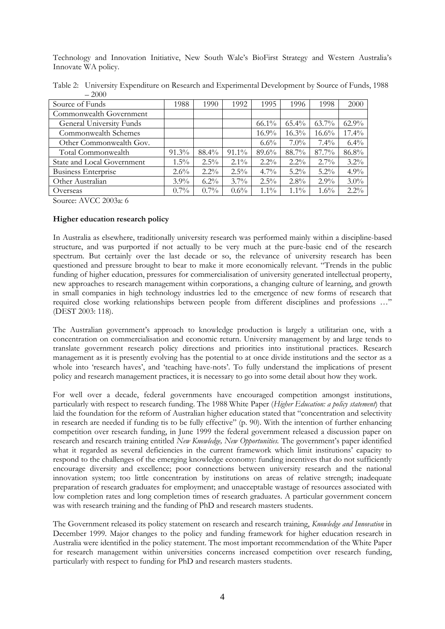Technology and Innovation Initiative, New South Wale's BioFirst Strategy and Western Australia's Innovate WA policy.

|                 | Table 2: University Expenditure on Research and Experimental Development by Source of Funds, 1988 |  |                           |  |      |      |  |
|-----------------|---------------------------------------------------------------------------------------------------|--|---------------------------|--|------|------|--|
|                 | $-2000$                                                                                           |  |                           |  |      |      |  |
| Source of Funds |                                                                                                   |  | 1990   1992   1995   1996 |  | 1998 | 2000 |  |

| Source of Funds                 | 1988     | 1990    | 1992     | 1995     | 1996     | 1998     | 2000     |
|---------------------------------|----------|---------|----------|----------|----------|----------|----------|
| Commonwealth Government         |          |         |          |          |          |          |          |
| <b>General University Funds</b> |          |         |          | $66.1\%$ | $65.4\%$ | $63.7\%$ | $62.9\%$ |
| Commonwealth Schemes            |          |         |          | $16.9\%$ | $16.3\%$ | $16.6\%$ | 17.4%    |
| Other Commonwealth Gov.         |          |         |          | $6.6\%$  | $7.0\%$  | $7.4\%$  | $6.4\%$  |
| Total Commonwealth              | $91.3\%$ | 88.4%   | $91.1\%$ | 89.6%    | 88.7%    | $87.7\%$ | 86.8%    |
| State and Local Government      | $1.5\%$  | $2.5\%$ | $2.1\%$  | $2.2\%$  | $2.2\%$  | $2.7\%$  | $3.2\%$  |
| <b>Business Enterprise</b>      | $2.6\%$  | $2.2\%$ | 2.5%     | $4.7\%$  | $5.2\%$  | $5.2\%$  | 4.9%     |
| Other Australian                | $3.9\%$  | $6.2\%$ | $3.7\%$  | $2.5\%$  | $2.8\%$  | $2.9\%$  | $3.0\%$  |
| Overseas                        | $0.7\%$  | $0.7\%$ | $0.6\%$  | $1.1\%$  | $1.1\%$  | $1.6\%$  | $2.2\%$  |

Source: AVCC 2003a: 6

# **Higher education research policy**

In Australia as elsewhere, traditionally university research was performed mainly within a discipline-based structure, and was purported if not actually to be very much at the pure-basic end of the research spectrum. But certainly over the last decade or so, the relevance of university research has been questioned and pressure brought to bear to make it more economically relevant. "Trends in the public funding of higher education, pressures for commercialisation of university generated intellectual property, new approaches to research management within corporations, a changing culture of learning, and growth in small companies in high technology industries led to the emergence of new forms of research that required close working relationships between people from different disciplines and professions …" (DEST 2003: 118).

The Australian government's approach to knowledge production is largely a utilitarian one, with a concentration on commercialisation and economic return. University management by and large tends to translate government research policy directions and priorities into institutional practices. Research management as it is presently evolving has the potential to at once divide institutions and the sector as a whole into 'research haves', and 'teaching have-nots'. To fully understand the implications of present policy and research management practices, it is necessary to go into some detail about how they work.

For well over a decade, federal governments have encouraged competition amongst institutions, particularly with respect to research funding. The 1988 White Paper (*Higher Education: a policy statement*) that laid the foundation for the reform of Australian higher education stated that "concentration and selectivity in research are needed if funding tis to be fully effective" (p. 90). With the intention of further enhancing competition over research funding, in June 1999 the federal government released a discussion paper on research and research training entitled *New Knowledge, New Opportunities.* The government's paper identified what it regarded as several deficiencies in the current framework which limit institutions' capacity to respond to the challenges of the emerging knowledge economy: funding incentives that do not sufficiently encourage diversity and excellence; poor connections between university research and the national innovation system; too little concentration by institutions on areas of relative strength; inadequate preparation of research graduates for employment; and unacceptable wastage of resources associated with low completion rates and long completion times of research graduates. A particular government concern was with research training and the funding of PhD and research masters students.

The Government released its policy statement on research and research training, *Knowledge and Innovation* in December 1999. Major changes to the policy and funding framework for higher education research in Australia were identified in the policy statement. The most important recommendation of the White Paper for research management within universities concerns increased competition over research funding, particularly with respect to funding for PhD and research masters students.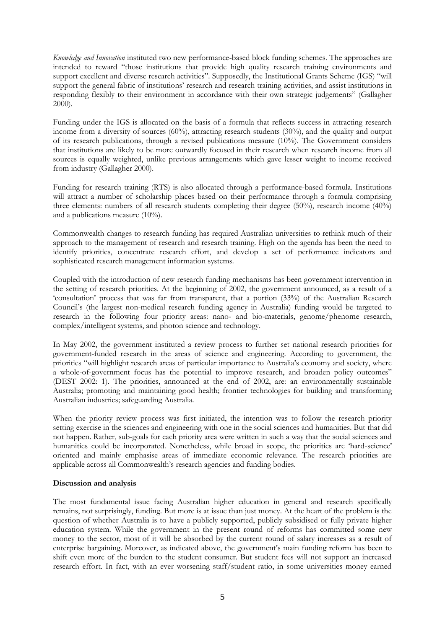*Knowledge and Innovation* instituted two new performance-based block funding schemes. The approaches are intended to reward "those institutions that provide high quality research training environments and support excellent and diverse research activities". Supposedly, the Institutional Grants Scheme (IGS) "will support the general fabric of institutions' research and research training activities, and assist institutions in responding flexibly to their environment in accordance with their own strategic judgements" (Gallagher 2000).

Funding under the IGS is allocated on the basis of a formula that reflects success in attracting research income from a diversity of sources (60%), attracting research students (30%), and the quality and output of its research publications, through a revised publications measure (10%). The Government considers that institutions are likely to be more outwardly focused in their research when research income from all sources is equally weighted, unlike previous arrangements which gave lesser weight to income received from industry (Gallagher 2000).

Funding for research training (RTS) is also allocated through a performance-based formula. Institutions will attract a number of scholarship places based on their performance through a formula comprising three elements: numbers of all research students completing their degree (50%), research income (40%) and a publications measure (10%).

Commonwealth changes to research funding has required Australian universities to rethink much of their approach to the management of research and research training. High on the agenda has been the need to identify priorities, concentrate research effort, and develop a set of performance indicators and sophisticated research management information systems.

Coupled with the introduction of new research funding mechanisms has been government intervention in the setting of research priorities. At the beginning of 2002, the government announced, as a result of a 'consultation' process that was far from transparent, that a portion (33%) of the Australian Research Council's (the largest non-medical research funding agency in Australia) funding would be targeted to research in the following four priority areas: nano- and bio-materials, genome/phenome research, complex/intelligent systems, and photon science and technology.

In May 2002, the government instituted a review process to further set national research priorities for government-funded research in the areas of science and engineering. According to government, the priorities "will highlight research areas of particular importance to Australia's economy and society, where a whole-of-government focus has the potential to improve research, and broaden policy outcomes" (DEST 2002: 1). The priorities, announced at the end of 2002, are: an environmentally sustainable Australia; promoting and maintaining good health; frontier technologies for building and transforming Australian industries; safeguarding Australia.

When the priority review process was first initiated, the intention was to follow the research priority setting exercise in the sciences and engineering with one in the social sciences and humanities. But that did not happen. Rather, sub-goals for each priority area were written in such a way that the social sciences and humanities could be incorporated. Nonetheless, while broad in scope, the priorities are 'hard-science' oriented and mainly emphasise areas of immediate economic relevance. The research priorities are applicable across all Commonwealth's research agencies and funding bodies.

## **Discussion and analysis**

The most fundamental issue facing Australian higher education in general and research specifically remains, not surprisingly, funding. But more is at issue than just money. At the heart of the problem is the question of whether Australia is to have a publicly supported, publicly subsidised or fully private higher education system. While the government in the present round of reforms has committed some new money to the sector, most of it will be absorbed by the current round of salary increases as a result of enterprise bargaining. Moreover, as indicated above, the government's main funding reform has been to shift even more of the burden to the student consumer. But student fees will not support an increased research effort. In fact, with an ever worsening staff/student ratio, in some universities money earned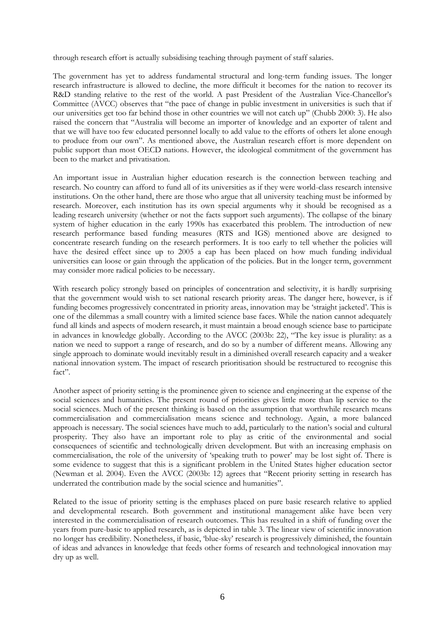through research effort is actually subsidising teaching through payment of staff salaries.

The government has yet to address fundamental structural and long-term funding issues. The longer research infrastructure is allowed to decline, the more difficult it becomes for the nation to recover its R&D standing relative to the rest of the world. A past President of the Australian Vice-Chancellor's Committee (AVCC) observes that "the pace of change in public investment in universities is such that if our universities get too far behind those in other countries we will not catch up" (Chubb 2000: 3). He also raised the concern that "Australia will become an importer of knowledge and an exporter of talent and that we will have too few educated personnel locally to add value to the efforts of others let alone enough to produce from our own". As mentioned above, the Australian research effort is more dependent on public support than most OECD nations. However, the ideological commitment of the government has been to the market and privatisation.

An important issue in Australian higher education research is the connection between teaching and research. No country can afford to fund all of its universities as if they were world-class research intensive institutions. On the other hand, there are those who argue that all university teaching must be informed by research. Moreover, each institution has its own special arguments why it should be recognised as a leading research university (whether or not the facts support such arguments). The collapse of the binary system of higher education in the early 1990s has exacerbated this problem. The introduction of new research performance based funding measures (RTS and IGS) mentioned above are designed to concentrate research funding on the research performers. It is too early to tell whether the policies will have the desired effect since up to 2005 a cap has been placed on how much funding individual universities can loose or gain through the application of the policies. But in the longer term, government may consider more radical policies to be necessary.

With research policy strongly based on principles of concentration and selectivity, it is hardly surprising that the government would wish to set national research priority areas. The danger here, however, is if funding becomes progressively concentrated in priority areas, innovation may be 'straight jacketed'. This is one of the dilemmas a small country with a limited science base faces. While the nation cannot adequately fund all kinds and aspects of modern research, it must maintain a broad enough science base to participate in advances in knowledge globally. According to the AVCC (2003b: 22), "The key issue is plurality: as a nation we need to support a range of research, and do so by a number of different means. Allowing any single approach to dominate would inevitably result in a diminished overall research capacity and a weaker national innovation system. The impact of research prioritisation should be restructured to recognise this fact".

Another aspect of priority setting is the prominence given to science and engineering at the expense of the social sciences and humanities. The present round of priorities gives little more than lip service to the social sciences. Much of the present thinking is based on the assumption that worthwhile research means commercialisation and commercialisation means science and technology. Again, a more balanced approach is necessary. The social sciences have much to add, particularly to the nation's social and cultural prosperity. They also have an important role to play as critic of the environmental and social consequences of scientific and technologically driven development. But with an increasing emphasis on commercialisation, the role of the university of 'speaking truth to power' may be lost sight of. There is some evidence to suggest that this is a significant problem in the United States higher education sector (Newman et al. 2004). Even the AVCC (2003b: 12) agrees that "Recent priority setting in research has underrated the contribution made by the social science and humanities".

Related to the issue of priority setting is the emphases placed on pure basic research relative to applied and developmental research. Both government and institutional management alike have been very interested in the commercialisation of research outcomes. This has resulted in a shift of funding over the years from pure-basic to applied research, as is depicted in table 3. The linear view of scientific innovation no longer has credibility. Nonetheless, if basic, 'blue-sky' research is progressively diminished, the fountain of ideas and advances in knowledge that feeds other forms of research and technological innovation may dry up as well.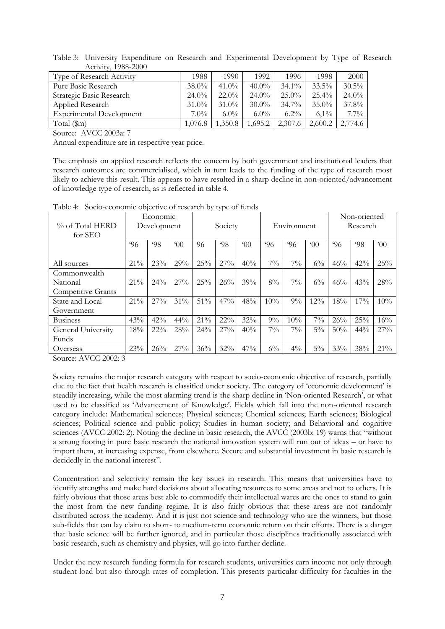| $\Lambda$ CUVILY, 1900- $\Delta$ UUU |          |          |          |          |          |          |
|--------------------------------------|----------|----------|----------|----------|----------|----------|
| Type of Research Activity            | 1988     | 1990.    | 1992     | 1996     | 1998     | 2000     |
| Pure Basic Research                  | $38.0\%$ | $41.0\%$ | $40.0\%$ | $34.1\%$ | $33.5\%$ | $30.5\%$ |
| Strategic Basic Research             | $24.0\%$ | $22.0\%$ | $24.0\%$ | $25.0\%$ | $25.4\%$ | $24.0\%$ |
| Applied Research                     | $31.0\%$ | $31.0\%$ | $30.0\%$ | $34.7\%$ | $35.0\%$ | 37.8%    |
| <b>Experimental Development</b>      | $7.0\%$  | $6.0\%$  | $6.0\%$  | $6.2\%$  | $6.1\%$  | $7.7\%$  |
| Total (\$m)                          | 1,076.8  | 1,350.8  | 1,695.2  | 2,307.6  | 2,600.2  | 2,774.6  |

Table 3: University Expenditure on Research and Experimental Development by Type of Research Activity, 1988-2000

Source: AVCC 2003a: 7

Annual expenditure are in respective year price.

The emphasis on applied research reflects the concern by both government and institutional leaders that research outcomes are commercialised, which in turn leads to the funding of the type of research most likely to achieve this result. This appears to have resulted in a sharp decline in non-oriented/advancement of knowledge type of research, as is reflected in table 4.

Table 4: Socio-economic objective of research by type of funds

|                           | Economic    |        |                |         |     |                |              |       |                | Non-oriented |     |               |
|---------------------------|-------------|--------|----------------|---------|-----|----------------|--------------|-------|----------------|--------------|-----|---------------|
| % of Total HERD           | Development |        |                | Society |     |                | Environment  |       |                | Research     |     |               |
| for SEO                   |             |        |                |         |     |                |              |       |                |              |     |               |
|                           | $^{6}96$    | 98     | 0 <sup>0</sup> | 96      | 98  | 0 <sup>0</sup> | $96^{\circ}$ | 96    | 0 <sup>0</sup> | $96^{\circ}$ | 98  | $200^{\circ}$ |
|                           |             |        |                |         |     |                |              |       |                |              |     |               |
| All sources               | 21%         | 23%    | 29%            | 25%     | 27% | 40%            | $7\%$        | $7\%$ | $6\%$          | 46%          | 42% | 25%           |
| Commonwealth              |             |        |                |         |     |                |              |       |                |              |     |               |
| National                  | 21%         | 24%    | $27\%$         | 25%     | 26% | 39%            | $8\%$        | $7\%$ | $6\%$          | 46%          | 43% | 28%           |
| <b>Competitive Grants</b> |             |        |                |         |     |                |              |       |                |              |     |               |
| State and Local           | 21%         | 27%    | 31%            | 51%     | 47% | 48%            | 10%          | 9%    | 12%            | 18%          | 17% | 10%           |
| Government                |             |        |                |         |     |                |              |       |                |              |     |               |
| <b>Business</b>           | 43%         | 42%    | 44%            | 21%     | 22% | 32%            | $9\%$        | 10%   | $7\%$          | 26%          | 25% | 16%           |
| General University        | 18%         | $22\%$ | 28%            | 24%     | 27% | 40%            | $7\%$        | $7\%$ | $5\%$          | 50%          | 44% | 27%           |
| <b>Funds</b>              |             |        |                |         |     |                |              |       |                |              |     |               |
| Overseas                  | 23%         | 26%    | $27\%$         | 36%     | 32% | 47%            | $6\%$        | $4\%$ | $5\%$          | 33%          | 38% | 21%           |

Source: AVCC 2002: 3

Society remains the major research category with respect to socio-economic objective of research, partially due to the fact that health research is classified under society. The category of 'economic development' is steadily increasing, while the most alarming trend is the sharp decline in 'Non-oriented Research', or what used to be classified as 'Advancement of Knowledge'. Fields which fall into the non-oriented research category include: Mathematical sciences; Physical sciences; Chemical sciences; Earth sciences; Biological sciences; Political science and public policy; Studies in human society; and Behavioral and cognitive sciences (AVCC 2002: 2). Noting the decline in basic research, the AVCC (2003b: 19) warns that "without a strong footing in pure basic research the national innovation system will run out of ideas – or have to import them, at increasing expense, from elsewhere. Secure and substantial investment in basic research is decidedly in the national interest".

Concentration and selectivity remain the key issues in research. This means that universities have to identify strengths and make hard decisions about allocating resources to some areas and not to others. It is fairly obvious that those areas best able to commodify their intellectual wares are the ones to stand to gain the most from the new funding regime. It is also fairly obvious that these areas are not randomly distributed across the academy. And it is just not science and technology who are the winners, but those sub-fields that can lay claim to short- to medium-term economic return on their efforts. There is a danger that basic science will be further ignored, and in particular those disciplines traditionally associated with basic research, such as chemistry and physics, will go into further decline.

Under the new research funding formula for research students, universities earn income not only through student load but also through rates of completion. This presents particular difficulty for faculties in the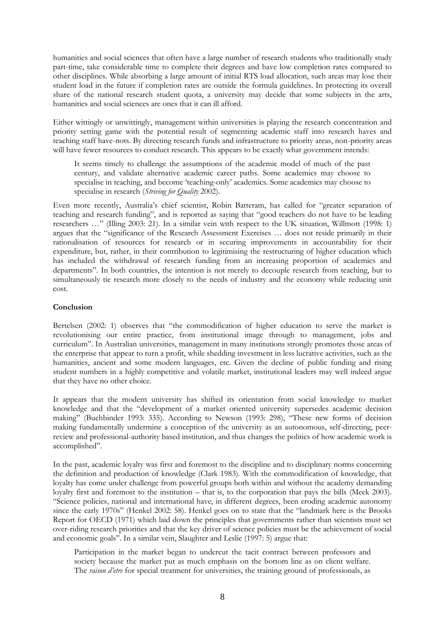humanities and social sciences that often have a large number of research students who traditionally study part-time, take considerable time to complete their degrees and have low completion rates compared to other disciplines. While absorbing a large amount of initial RTS load allocation, such areas may lose their student load in the future if completion rates are outside the formula guidelines. In protecting its overall share of the national research student quota, a university may decide that some subjects in the arts, humanities and social sciences are ones that it can ill afford.

Either wittingly or unwittingly, management within universities is playing the research concentration and priority setting game with the potential result of segmenting academic staff into research haves and teaching staff have-nots. By directing research funds and infrastructure to priority areas, non-priority areas will have fewer resources to conduct research. This appears to be exactly what government intends:

It seems timely to challenge the assumptions of the academic model of much of the past century, and validate alternative academic career paths. Some academics may choose to specialise in teaching, and become 'teaching-only' academics. Some academics may choose to specialise in research (*Striving for Quality* 2002).

Even more recently, Australia's chief scientist, Robin Batteram, has called for "greater separation of teaching and research funding", and is reported as saying that "good teachers do not have to be leading researchers …" (Illing 2003: 21). In a similar vein with respect to the UK situation, Willmott (1998: 1) argues that the "significance of the Research Assessment Exercises … does not reside primarily in their rationalisation of resources for research or in securing improvements in accountability for their expenditure, but, rather, in their contribution to legitimising the restructuring of higher education which has included the withdrawal of research funding from an increasing proportion of academics and departments". In both countries, the intention is not merely to decouple research from teaching, but to simultaneously tie research more closely to the needs of industry and the economy while reducing unit cost.

# **Conclusion**

Bertelsen (2002: 1) observes that "the commodification of higher education to serve the market is revolutionising our entire practice, from institutional image through to management, jobs and curriculum". In Australian universities, management in many institutions strongly promotes those areas of the enterprise that appear to turn a profit, while shedding investment in less lucrative activities, such as the humanities, ancient and some modern languages, etc. Given the decline of public funding and rising student numbers in a highly competitive and volatile market, institutional leaders may well indeed argue that they have no other choice.

It appears that the modern university has shifted its orientation from social knowledge to market knowledge and that the "development of a market oriented university supersedes academic decision making" (Buchbinder 1993: 335). According to Newson (1993: 298), "These new forms of decision making fundamentally undermine a conception of the university as an autonomous, self-directing, peerreview and professional-authority based institution, and thus changes the politics of how academic work is accomplished".

In the past, academic loyalty was first and foremost to the discipline and to disciplinary norms concerning the definition and production of knowledge (Clark 1983). With the commodification of knowledge, that loyalty has come under challenge from powerful groups both within and without the academy demanding loyalty first and foremost to the institution – that is, to the corporation that pays the bills (Meek 2003). "Science policies, national and international have, in different degrees, been eroding academic autonomy since the early 1970s" (Henkel 2002: 58). Henkel goes on to state that the "landmark here is the Brooks Report for OECD (1971) which laid down the principles that governments rather than scientists must set over-riding research priorities and that the key driver of science policies must be the achievement of social and economic goals". In a similar vein, Slaughter and Leslie (1997: 5) argue that:

Participation in the market began to undercut the tacit contract between professors and society because the market put as much emphasis on the bottom line as on client welfare. The *raison d'etre* for special treatment for universities, the training ground of professionals, as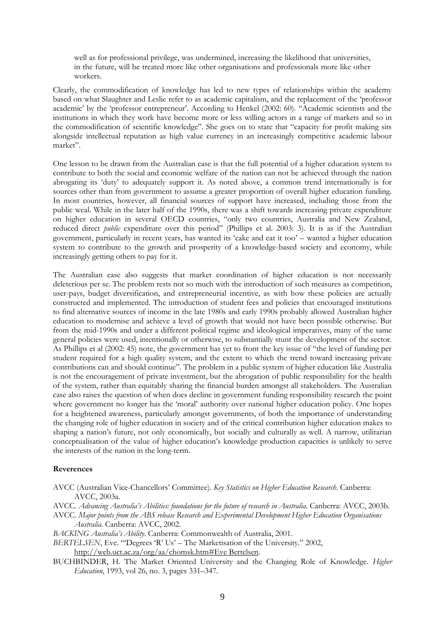well as for professional privilege, was undermined, increasing the likelihood that universities, in the future, will be treated more like other organisations and professionals more like other workers.

Clearly, the commodification of knowledge has led to new types of relationships within the academy based on what Slaughter and Leslie refer to as academic capitalism, and the replacement of the 'professor academic' by the 'professor entrepreneur'. According to Henkel (2002: 60). "Academic scientists and the institutions in which they work have become more or less willing actors in a range of markets and so in the commodification of scientific knowledge". She goes on to state that "capacity for profit making sits alongside intellectual reputation as high value currency in an increasingly competitive academic labour market".

One lesson to be drawn from the Australian case is that the full potential of a higher education system to contribute to both the social and economic welfare of the nation can not be achieved through the nation abrogating its 'duty' to adequately support it. As noted above, a common trend internationally is for sources other than from government to assume a greater proportion of overall higher education funding. In most countries, however, all financial sources of support have increased, including those from the public weal. While in the later half of the 1990s, there was a shift towards increasing private expenditure on higher education in several OECD countries, "only two countries, Australia and New Zealand, reduced direct *public* expenditure over this period" (Phillips et al. 2003: 3). It is as if the Australian government, particularly in recent years, has wanted its 'cake and eat it too' – wanted a higher education system to contribute to the growth and prosperity of a knowledge-based society and economy, while increasingly getting others to pay for it.

The Australian case also suggests that market coordination of higher education is not necessarily deleterious per se. The problem rests not so much with the introduction of such measures as competition, user-pays, budget diversification, and entrepreneurial incentive, as with how these policies are actually constructed and implemented. The introduction of student fees and policies that encouraged institutions to find alternative sources of income in the late 1980s and early 1990s probably allowed Australian higher education to modernise and achieve a level of growth that would not have been possible otherwise. But from the mid-1990s and under a different political regime and ideological imperatives, many of the same general policies were used, intentionally or otherwise, to substantially stunt the development of the sector. As Phillips et al (2002: 45) note, the government has yet to front the key issue of "the level of funding per student required for a high quality system, and the extent to which the trend toward increasing private contributions can and should continue". The problem in a public system of higher education like Australia is not the encouragement of private investment, but the abrogation of public responsibility for the health of the system, rather than equitably sharing the financial burden amongst all stakeholders. The Australian case also raises the question of when does decline in government funding responsibility research the point where government no longer has the 'moral' authority over national higher education policy. One hopes for a heightened awareness, particularly amongst governments, of both the importance of understanding the changing role of higher education in society and of the critical contribution higher education makes to shaping a nation's future, not only economically, but socially and culturally as well. A narrow, utilitarian conceptualisation of the value of higher education's knowledge production capacities is unlikely to serve the interests of the nation in the long-term.

#### **Reverences**

AVCC (Australian Vice-Chancellors' Committee). *Key Statistics on Higher Education Research*. Canberra: AVCC, 2003a.

AVCC. *Advancing Australia's Abilities: foundations for the future of research in Australia*. Canberra: AVCC, 2003b.

- AVCC. *Major points from the ABS release Research and Experimental Development Higher Education Organisations Australia*. Canberra: AVCC, 2002.
- *BACKING Australia's Ability*. Canberra: Commonwealth of Australia, 2001.

*BERTELSEN*, Eve. "'Degrees 'R' Us' – The Marketisation of the University." 2002, http://web.uct.ac.za/org/aa/chomsk.htm#Eve Bertelsen.

BUCHBINDER, H. The Market Oriented University and the Changing Role of Knowledge. *Higher Education*, 1993, vol 26, no. 3, pages 331–347.